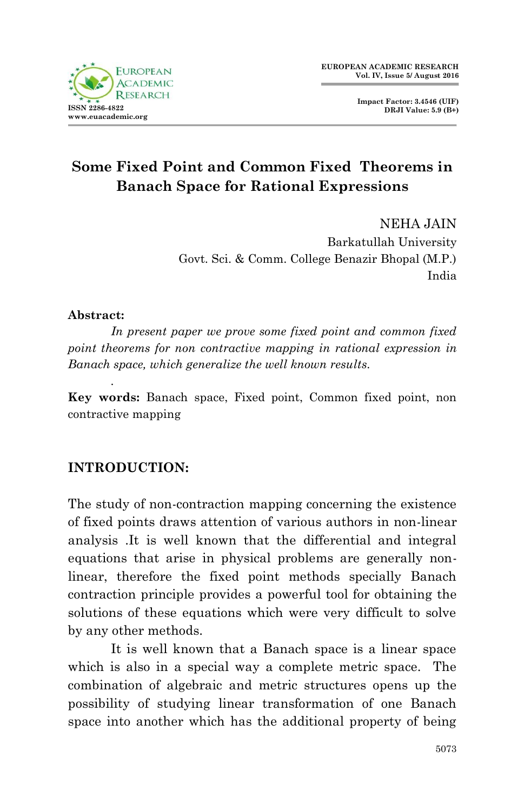

NEHA JAIN Barkatullah University Govt. Sci. & Comm. College Benazir Bhopal (M.P.) India

#### **Abstract:**

*.*

*In present paper we prove some fixed point and common fixed point theorems for non contractive mapping in rational expression in Banach space, which generalize the well known results.* 

**Key words:** Banach space, Fixed point, Common fixed point, non contractive mapping

## **INTRODUCTION:**

The study of non-contraction mapping concerning the existence of fixed points draws attention of various authors in non-linear analysis .It is well known that the differential and integral equations that arise in physical problems are generally nonlinear, therefore the fixed point methods specially Banach contraction principle provides a powerful tool for obtaining the solutions of these equations which were very difficult to solve by any other methods.

It is well known that a Banach space is a linear space which is also in a special way a complete metric space. The combination of algebraic and metric structures opens up the possibility of studying linear transformation of one Banach space into another which has the additional property of being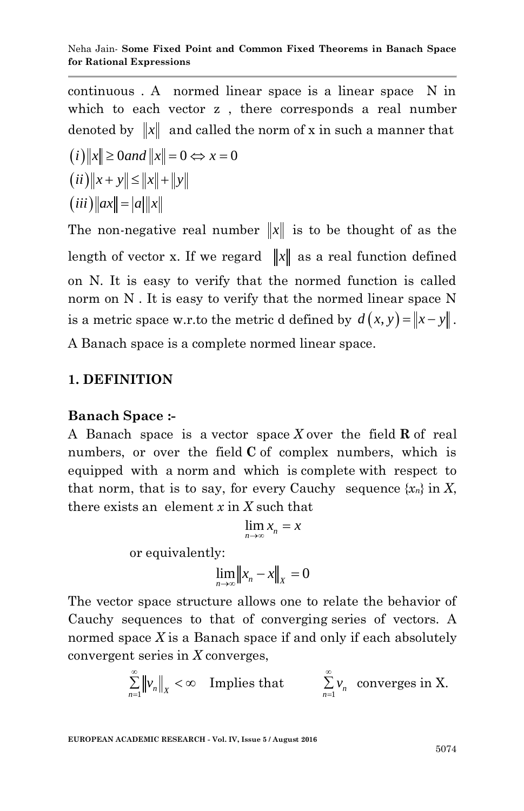continuous . A normed linear space is a linear space N in which to each vector z , there corresponds a real number denoted by  $\|x\|$  and called the norm of x in such a manner that  $(i)$ ||x||  $\geq 0$ *and*  $||x|| = 0 \Leftrightarrow x = 0$  $(iii)$   $||x + y|| \le ||x|| + ||y||$  $(iii)$   $\|ax\| = |a|$   $\|x\|$ 

The non-negative real number  $||x||$  is to be thought of as the length of vector x. If we regard  $||x||$  as a real function defined on N. It is easy to verify that the normed function is called norm on N . It is easy to verify that the normed linear space N is a metric space w.r.to the metric d defined by  $d(x, y) = ||x - y||$ . A Banach space is a complete normed linear space.

## **1. DEFINITION**

## **Banach Space :-**

A Banach space is a vector space *X* over the field **R** of real numbers, or over the field **C** of complex numbers, which is equipped with a norm and which is complete with respect to that norm, that is to say, for every Cauchy sequence  $\{x_n\}$  in X, there exists an element *x* in *X* such that

$$
\lim_{n\to\infty}x_n=x
$$

or equivalently:

$$
\lim_{n\to\infty} \|x_n - x\|_X = 0
$$

The vector space structure allows one to relate the behavior of Cauchy sequences to that of converging series of vectors. A normed space *X* is a Banach space if and only if each absolutely convergent series in *X* converges,

$$
\sum_{n=1}^{\infty} \left\| \nu_n \right\|_X < \infty \quad \text{Implies that} \qquad \sum_{n=1}^{\infty} \nu_n \quad \text{converges in X.}
$$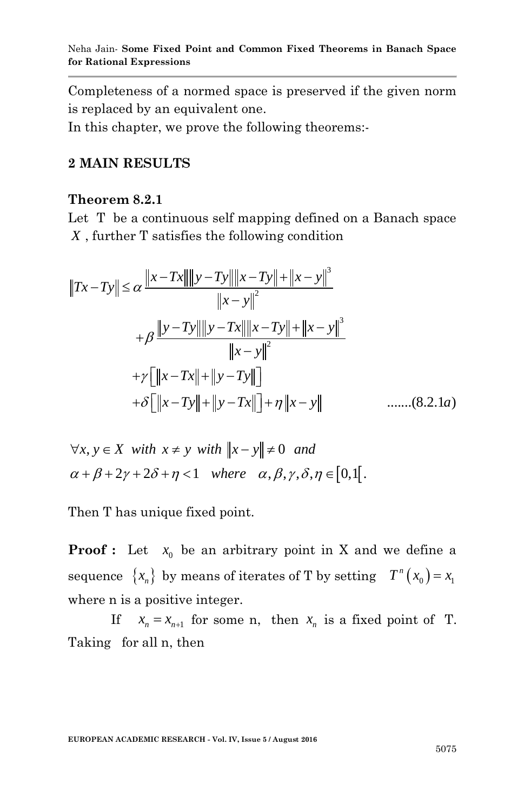Completeness of a normed space is preserved if the given norm is replaced by an equivalent one.

In this chapter, we prove the following theorems:-

#### **2 MAIN RESULTS**

#### **Theorem 8.2.1**

Let T be a continuous self mapping defined on a Banach space

X, further T satisfies the following condition  
\n
$$
||Tx - Ty|| \le \alpha \frac{||x - Tx|| ||y - Ty|| ||x - Ty|| + ||x - y||^3}{||x - y||^2}
$$
\n
$$
+ \beta \frac{||y - Ty|| ||y - Tx|| ||x - Ty|| + ||x - y||^3}{||x - y||^2}
$$
\n
$$
+ \gamma [||x - Tx|| + ||y - Ty||]
$$
\n
$$
+ \delta [||x - Ty|| + ||y - Tx||] + \eta ||x - y||
$$
\n........(8.2.1*a*)

$$
+o\lfloor ||x - Iy|| + ||y - Ix|| \rfloor + \eta ||x - y||
$$
  

$$
\forall x, y \in X \text{ with } x \neq y \text{ with } ||x - y|| \neq 0 \text{ and}
$$
  

$$
\alpha + \beta + 2\gamma + 2\delta + \eta < 1 \text{ where } \alpha, \beta, \gamma, \delta, \eta \in [0, 1].
$$

Then T has unique fixed point.

**Proof :** Let  $x_0$  be an arbitrary point in X and we define a sequence  $\{x_n\}$  by means of iterates of T by setting  $T^n(x_0) = x_1$ where n is a positive integer.

If  $x_n = x_{n+1}$  for some n, then  $x_n$  is a fixed point of T. Taking for all n, then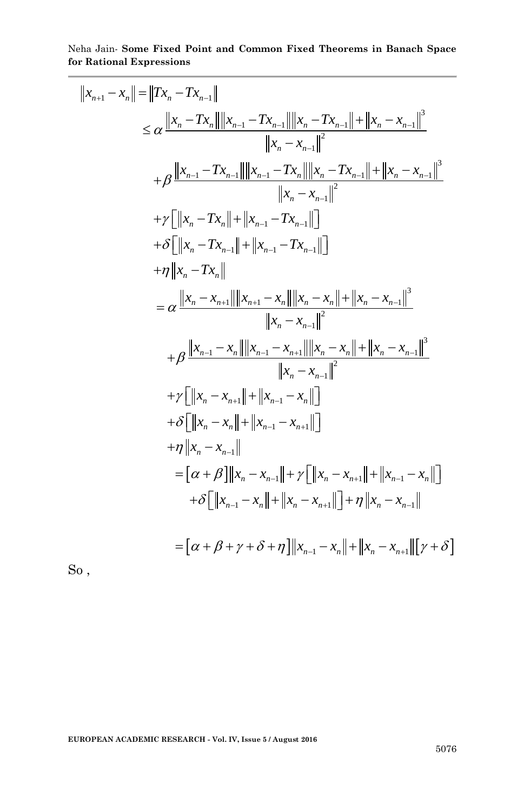the Jain-Some Fixed Point and Common Fixed Theorems in Banach Space  
\nRational Expressions  
\n
$$
||x_{n+1} - x_n|| = ||Tx_n - Tx_{n-1}||
$$
\n
$$
\leq \alpha \frac{||x_n - Tx_n|| ||x_{n-1} - Tx_{n-1}|| ||x_n - Tx_{n-1}|| + ||x_n - x_{n-1}||^3}{||x_n - x_{n-1}||^2}
$$
\n
$$
+ \beta \frac{||x_{n-1} - Tx_{n-1}|| ||x_{n-1} - Tx_n|| ||x_n - Tx_{n-1}|| + ||x_n - x_{n-1}||^3}{||x_n - x_{n-1}||}
$$
\n
$$
+ \gamma [||x_n - Tx_n|| + ||x_{n-1} - Tx_{n-1}||]
$$
\n
$$
+ \delta [||x_n - Tx_n|| + ||x_{n-1} - Tx_{n-1}||]
$$
\n
$$
+ \eta ||x_n - Tx_n||
$$
\n
$$
= \alpha \frac{||x_n - x_{n+1}|| ||x_{n+1} - x_n|| ||x_n - x_n|| + ||x_n - x_{n-1}||^3}{||x_n - x_{n-1}||^2}
$$
\n
$$
+ \beta \frac{||x_{n-1} - x_n|| ||x_{n-1} - x_{n+1}|| ||x_n - x_n|| + ||x_n - x_{n-1}||^3}{||x_n - x_{n-1}||^2}
$$
\n
$$
+ \gamma [||x_n - x_{n+1}|| + ||x_{n-1} - x_n||]
$$
\n
$$
+ \delta [||x_n - x_{n+1}|| + ||x_{n-1} - x_{n+1}||]
$$
\n
$$
+ \delta [||x_n - x_{n-1}|| + ||x_n - x_{n-1}|| + \gamma [||x_n - x_{n+1}|| + ||x_{n-1} - x_n||]
$$
\n
$$
+ \delta [||x_n - x_{n-1}|| + |\gamma_n - x_{n+1}|| + |\gamma_n - x_{n-1}|| + |\gamma_n - x_{n-1}|| + |\gamma_n - x_{n-1}|| + |\gamma_n - x_{n-1}|| + |\gamma_n - x_{n-1}|| + |\gamma_n - x_{n-1}|| + |\gamma_n - x_{n-1}|| + |\gamma_n - x_{n-1}|| + |\gamma_n - x_{n-1}|| + |\gamma_n - x_{n-1}|| + |\gamma_n - x_{n-
$$

So ,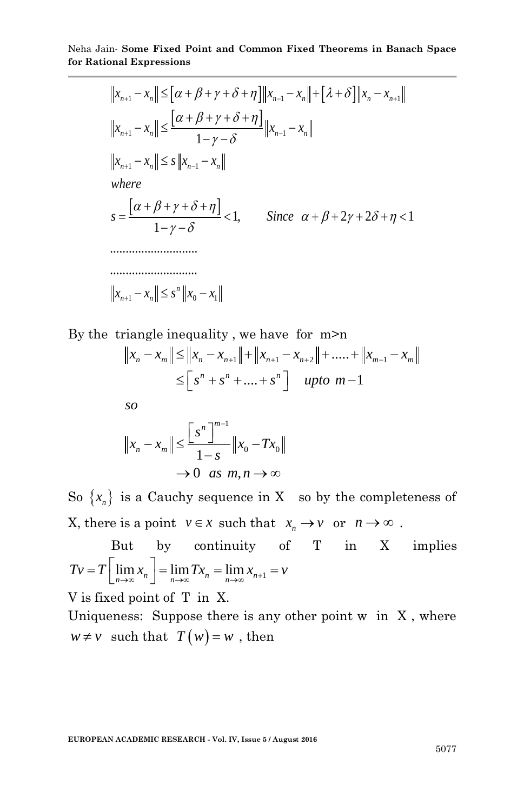$$
\begin{aligned}\n\text{on all Expressions} \\
\|\bar{x}_{n+1} - \bar{x}_n\| &\leq \left[\alpha + \beta + \gamma + \delta + \eta\right] \|\bar{x}_{n-1} - \bar{x}_n\| + \left[\lambda + \delta\right] \|\bar{x}_n - \bar{x}_{n+1}\| \\
\|\bar{x}_{n+1} - \bar{x}_n\| &\leq \frac{\left[\alpha + \beta + \gamma + \delta + \eta\right]}{1 - \gamma - \delta} \|\bar{x}_{n-1} - \bar{x}_n\| \\
\text{where} \\
\bar{s} &= \frac{\left[\alpha + \beta + \gamma + \delta + \eta\right]}{1 - \gamma - \delta} < 1, \qquad \text{Since } \alpha + \beta + 2\gamma + 2\delta + \eta < 1 \\
\text{and} \\
\bar{s} &= \frac{\left[\alpha + \beta + \gamma + \delta + \eta\right]}{1 - \gamma - \delta} < 1, \qquad \text{Since } \alpha + \beta + 2\gamma + 2\delta + \eta < 1 \\
\text{and} \\
\|\bar{x}_{n+1} - \bar{x}_n\| &\leq s^n \|\bar{x}_0 - \bar{x}_1\|\n\end{aligned}
$$

By the triangle inequality, we have for m>n  
\n
$$
||x_n - x_m|| \le ||x_n - x_{n+1}|| + ||x_{n+1} - x_{n+2}|| + \dots + ||x_{m-1} - x_m||
$$
\n
$$
\le [s^n + s^n + \dots + s^n] \quad \text{upto } m-1
$$

*so*

$$
\begin{aligned} \text{so} \\ \|x_n - x_m\| &\leq \frac{\left[s^n\right]^{m-1}}{1-s} \|x_0 - Tx_0\| \\ &\to 0 \quad \text{as } m, n \to \infty \end{aligned}
$$

So  $\{x_n\}$  is a Cauchy sequence in X so by the completeness of X, there is a point  $v \in x$  such that  $x_n \to v$  or  $n \to \infty$ .

But by continuity of T in X implies But by continuity of<br>  $TV = T \left[ \lim_{n \to \infty} x_n \right] = \lim_{n \to \infty} Tx_n = \lim_{n \to \infty} x_{n+1} = v$ 

V is fixed point of T in X.

Uniqueness: Suppose there is any other point w in X , where  $w \neq v$  such that  $T(w) = w$ , then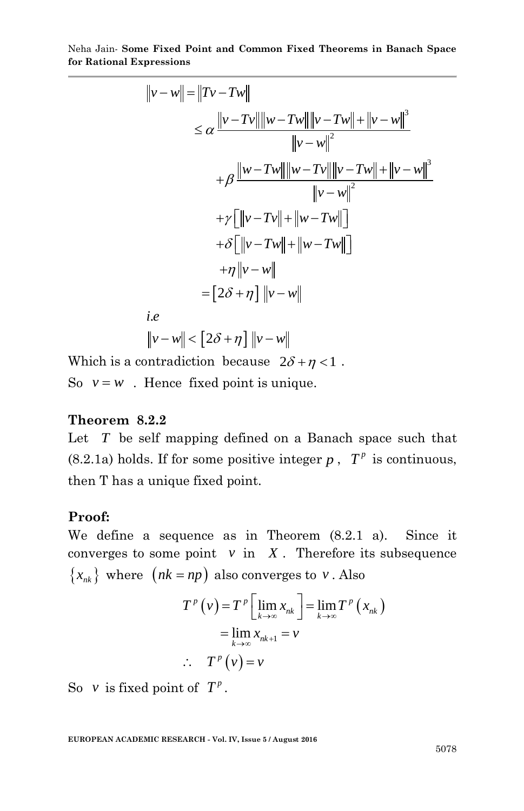$$
\|\mathbf{v} - \mathbf{w}\| = \|T\mathbf{v} - T\mathbf{w}\|
$$
\n
$$
\leq \alpha \frac{\|\mathbf{v} - T\mathbf{w}\| \|\mathbf{w} - T\mathbf{w}\| \|\mathbf{v} - T\mathbf{w}\| + \|\mathbf{v} - \mathbf{w}\|^3}{\|\mathbf{v} - \mathbf{w}\|^2}
$$
\n
$$
+ \beta \frac{\|\mathbf{w} - T\mathbf{w}\| \|\mathbf{w} - T\mathbf{w}\| \|\mathbf{v} - T\mathbf{w}\| + \|\mathbf{v} - \mathbf{w}\|^3}{\|\mathbf{v} - \mathbf{w}\|^2}
$$
\n
$$
+ \gamma \left[\|\mathbf{v} - T\mathbf{v}\| + \|\mathbf{w} - T\mathbf{w}\|\right]
$$
\n
$$
+ \delta \left[\|\mathbf{v} - T\mathbf{w}\| + \|\mathbf{w} - T\mathbf{w}\|\right]
$$
\n
$$
+ \eta \|\mathbf{v} - \mathbf{w}\|
$$
\n
$$
+ \eta \|\mathbf{v} - \mathbf{w}\|
$$
\ni.e\n
$$
\|\mathbf{v} - \mathbf{w}\| < [2\delta + \eta] \|\mathbf{v} - \mathbf{w}\|
$$

Which is a contradiction because  $2\delta + \eta < 1$ . So  $v = w$ . Hence fixed point is unique.

### **Theorem 8.2.2**

Let *T* be self mapping defined on a Banach space such that  $(8.2.1a)$  holds. If for some positive integer p,  $T^p$  is continuous, then T has a unique fixed point.

#### **Proof:**

We define a sequence as in Theorem (8.2.1 a). Since it converges to some point  $v$  in  $X$ . Therefore its subsequence  $\{x_{nk}\}\$  where  $(nk = np)$  also converges to *v*. Also

$$
T^{p}(v) = T^{p} \left[ \lim_{k \to \infty} x_{nk} \right] = \lim_{k \to \infty} T^{p}(x_{nk})
$$

$$
= \lim_{k \to \infty} x_{nk+1} = v
$$

$$
\therefore T^{p}(v) = v
$$

So v is fixed point of  $T^p$ .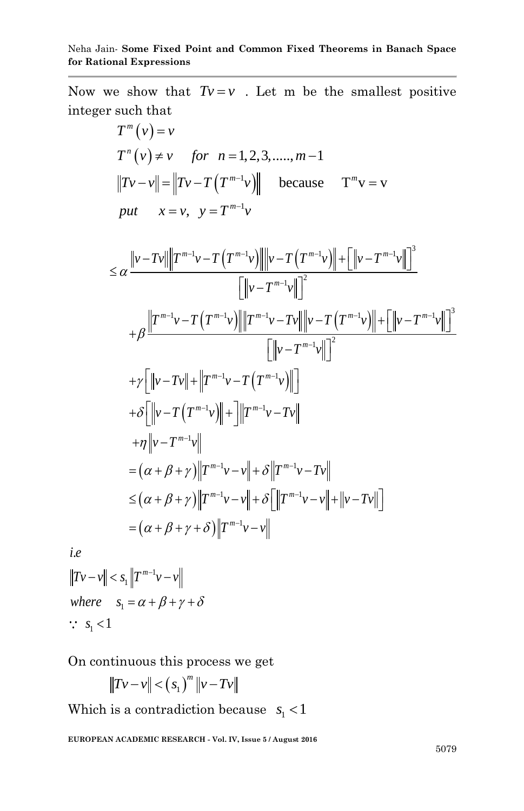Now we show that  $Tv = v$ . Let m be the smallest positive integer such that

such that  
\n
$$
T^{m}(v) = v
$$
\n
$$
T^{n}(v) \neq v \quad \text{for} \quad n = 1, 2, 3, \dots, m-1
$$
\n
$$
||Tv - v|| = ||Tv - T(T^{m-1}v)|| \quad \text{because} \quad T^{m}v = v
$$
\n
$$
put \quad x = v, \quad y = T^{m-1}v
$$

$$
put \quad x = v, \quad y = T^{m} \cdot v
$$
\n
$$
\leq \alpha \frac{\|v - Tv\| \|T^{m-1}v - T(T^{m-1}v)\| \|v - T(T^{m-1}v)\| + \left[\|v - T^{m-1}v\|\right]^3}{\left[\|v - T^{m-1}v\|\right]^2}
$$
\n
$$
+ \beta \frac{\|T^{m-1}v - T(T^{m-1}v)\| \|T^{m-1}v - Tv\| \|v - T(T^{m-1}v)\| + \left[\|v - T^{m-1}v\|\right]^3}{\left[\|v - T^{m-1}v\|\right]^2}
$$
\n
$$
+ \gamma \left[\|v - Tv\| + \|T^{m-1}v - T(T^{m-1}v)\|\right]
$$
\n
$$
+ \delta \left[\|v - T(T^{m-1}v)\| + \right] \|T^{m-1}v - Tv\|
$$
\n
$$
+ \eta \|v - T^{m-1}v\|
$$
\n
$$
= (\alpha + \beta + \gamma) \|T^{m-1}v - v\| + \delta \|T^{m-1}v - Tv\|
$$
\n
$$
\leq (\alpha + \beta + \gamma) \|T^{m-1}v - v\| + \delta \left[\|T^{m-1}v - v\| + \|v - Tv\|\right]
$$
\n
$$
= (\alpha + \beta + \gamma + \delta) \|T^{m-1}v - v\|
$$

. *i e*

1 1 *m*  $-c(u + P - C)$ <br>*Tv - v*  $||c| < s_1 ||T^{m-1}v - v$  $where \t s<sub>1</sub>$ -= $((u + p + \gamma + o)||P)$ <br>-  $v|| < s_1 ||T^{m-1}v - v||$  $s_1 < 1$  $|v|| < s_1 ||T^{m-1}v - v||$ <br>  $e$   $s_1 = \alpha + \beta + \gamma + \delta$ 

On continuous this process we get

$$
||Tv - v|| < (s1)m ||v - Tv||
$$

Which is a contradiction because  $s_1 < 1$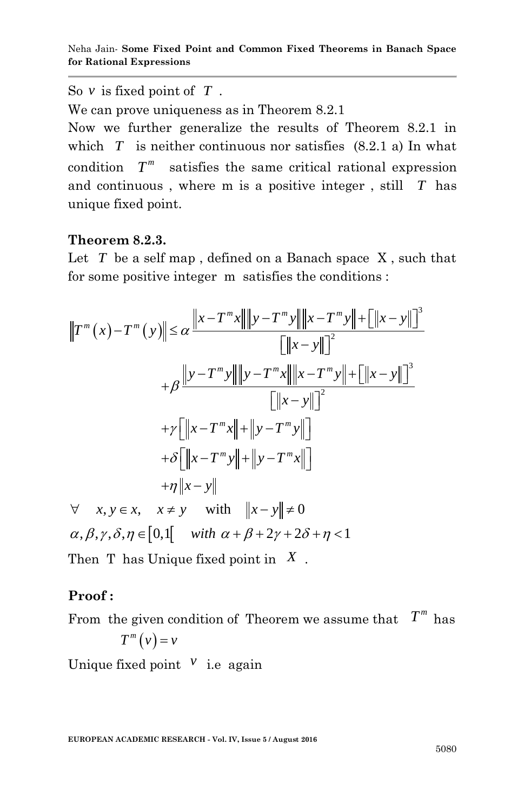So  $\nu$  is fixed point of  $T$ .

We can prove uniqueness as in Theorem 8.2.1

Now we further generalize the results of Theorem 8.2.1 in which  $T$  is neither continuous nor satisfies  $(8.2.1 \text{ a})$  In what condition  $T^m$ satisfies the same critical rational expression and continuous , where m is a positive integer , still *T* has unique fixed point.

### **Theorem 8.2.3.**

Let  $T$  be a self map , defined on a Banach space  $X$  , such that

for some positive integer m satisfies the conditions :  
\n
$$
||T^m(x) - T^m(y)|| \le \alpha \frac{||x - T^m x|| ||y - T^m y|| + ||x - T^m y|| + ||x - y|||^3}{||x - y||^2}
$$
\n
$$
+ \beta \frac{||y - T^m y|| ||y - T^m x|| ||x - T^m y|| + ||x - y||^3}{||x - y||^2}
$$
\n
$$
+ \gamma [||x - T^m x|| + ||y - T^m y||]
$$
\n
$$
+ \delta [||x - T^m y|| + ||y - T^m x||]
$$
\n
$$
+ \eta ||x - y||
$$
\n
$$
\forall x, y \in x, \quad x \neq y \quad \text{with} \quad ||x - y|| \neq 0
$$
\n
$$
\alpha, \beta, \gamma, \delta, \eta \in [0, 1]
$$
\nwith  $\alpha + \beta + 2\gamma + 2\delta + \eta < 1$ 

Then T has Unique fixed point in *X* .

## **Proof :**

From the given condition of Theorem we assume that  $T^m$  has  $T^m(v) = v$ 

Unique fixed point  $\mathbf{v}$  i.e again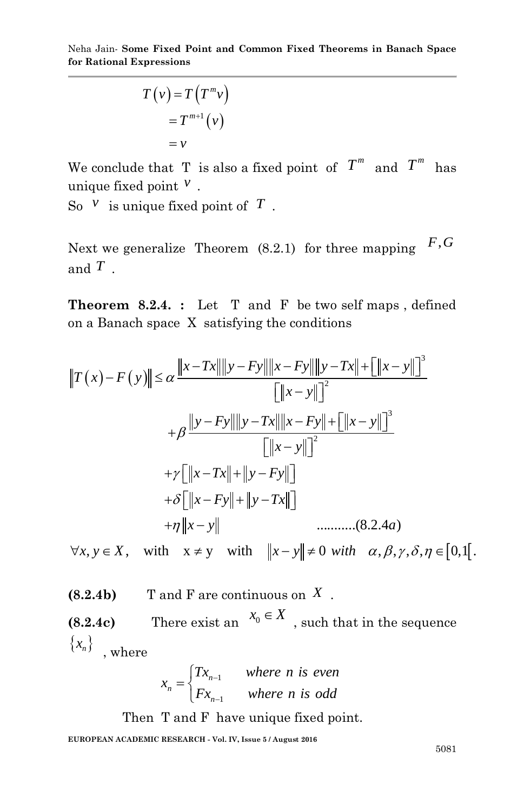$$
T(v) = T(Tmv)
$$
  
= T<sup>m+1</sup>(v)  
= v

We conclude that T is also a fixed point of  $T^m$  and  $T^m$  has unique fixed point *v* .

So  $V$  is unique fixed point of  $T$ .

Next we generalize Theorem (8.2.1) for three mapping  $F, G$ and *T* .

**Theorem 8.2.4. :** Let T and F be two self maps , defined on a Banach space X satisfying the conditions

on a Banach space X satisfying the conditions  
\n
$$
||T(x) - F(y)|| \le \alpha \frac{||x - Tx|| ||y - Fy|| ||x - Fy|| ||y - Tx|| + [||x - y||]^3}{[||x - y||]^2}
$$
\n
$$
+ \beta \frac{||y - Fy|| ||y - Tx|| ||x - Fy|| + [||x - y||]^3}{[||x - y||]^2}
$$
\n
$$
+ \gamma [||x - Tx|| + ||y - Fy||]
$$
\n
$$
+ \delta [||x - Fy|| + ||y - Tx||]
$$
\n
$$
+ \eta ||x - y||
$$
\n
$$
\lim_{x \to \infty} (8.2.4a)
$$

 $\forall x, y \in X$ , with  $x \neq y$  with  $||x - y|| \neq 0$  with  $\alpha, \beta, \gamma, \delta, \eta \in [0,1]$ .

**(8.2.4b)** T and F are continuous on *X* .

**(8.2.4c)** There exist an  $x_0 \in X$ , such that in the sequence  $\{x_n\}$ , where

$$
x_n = \begin{cases} Tx_{n-1} & \text{where } n \text{ is even} \\ Fx_{n-1} & \text{where } n \text{ is odd} \end{cases}
$$

Then T and F have unique fixed point.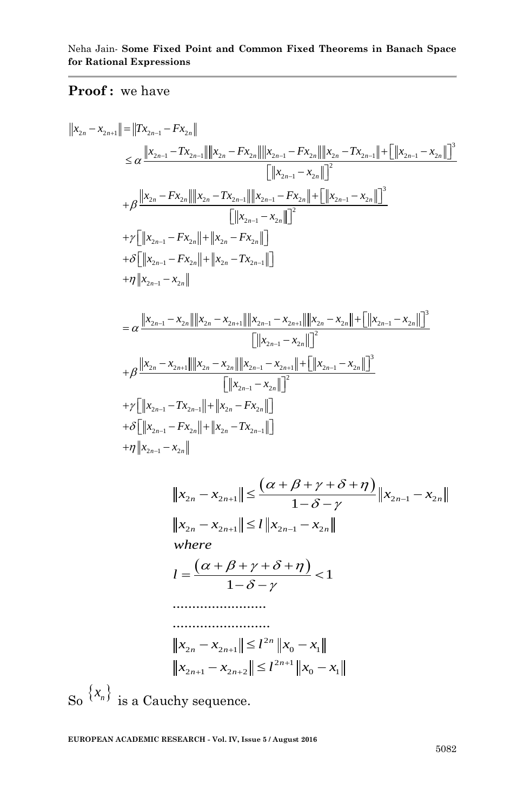Proof: we have  
\n
$$
||x_{2n} - x_{2n+1}|| = ||Tx_{2n-1} - Fx_{2n}||
$$
\n
$$
\leq \alpha \frac{||x_{2n-1} - Tx_{2n-1}|| ||x_{2n} - Fx_{2n}|| ||x_{2n-1} - Fx_{2n}|| ||x_{2n} - Tx_{2n-1}|| + [||x_{2n-1} - x_{2n}||]^3}{[||x_{2n-1} - x_{2n}||]^2}
$$
\n
$$
+ \beta \frac{||x_{2n} - Fx_{2n}|| ||x_{2n} - Tx_{2n-1}|| ||x_{2n-1} - Fx_{2n}|| + [||x_{2n-1} - x_{2n}||]^3}{[||x_{2n-1} - x_{2n}||]^2}
$$
\n
$$
+ \gamma \left[ ||x_{2n-1} - Fx_{2n}|| + ||x_{2n} - Fx_{2n}|| \right]
$$
\n
$$
+ \delta \left[ ||x_{2n-1} - Fx_{2n}|| + ||x_{2n} - Tx_{2n-1}|| \right]
$$
\n
$$
+ \eta ||x_{2n-1} - x_{2n}||
$$
\n
$$
+ \eta ||x_{2n-1} - x_{2n}|| ||x_{2n} - x_{2n-1}||
$$
\n
$$
+ \eta ||x_{2n-1} - x_{2n}|| ||x_{2n} - x_{2n+1}|| ||x_{2n-1} - x_{2n+1}|| ||x_{2n} - x_{2n}|| + [||x_{2n-1} - x_{2n}||]^3
$$
\n
$$
+ \beta \frac{||x_{2n} - x_{2n+1}|| ||x_{2n} - x_{2n}|| ||x_{2n-1} - x_{2n}|| + [||x_{2n-1} - x_{2n}||]^3}{[||x_{2n-1} - x_{2n}||]^2}
$$
\n
$$
+ \gamma \left[ ||x_{2n-1} - Fx_{2n}|| + ||x_{2n} - Fx_{2n}|| \right]
$$
\n
$$
+ \delta \left[ ||x_{2n-1} - Fx_{2n}|| + ||x_{2n} - Fx_{2n}|| \right]
$$
\n
$$
+ \eta ||x_{2n-1} - x_{2n}|| + ||x_{2n} - Tx_{2n-1}|| \right
$$

$$
||x_{2n} - x_{2n+1}|| \leq \frac{(\alpha + \beta + \gamma + \delta + \eta)}{1 - \delta - \gamma} ||x_{2n-1} - x_{2n}||
$$
  
\n
$$
||x_{2n} - x_{2n+1}|| \leq l ||x_{2n-1} - x_{2n}||
$$
  
\nwhere  
\n
$$
l = \frac{(\alpha + \beta + \gamma + \delta + \eta)}{1 - \delta - \gamma} < 1
$$
  
\n
$$
\dots
$$

$$
||x_{2n} - x_{2n+1}|| \le l^{2n} ||x_0 - x_1||
$$
  

$$
||x_{2n+1} - x_{2n+2}|| \le l^{2n+1} ||x_0 - x_1||
$$

So  $\{x_n\}$  is a Cauchy sequence.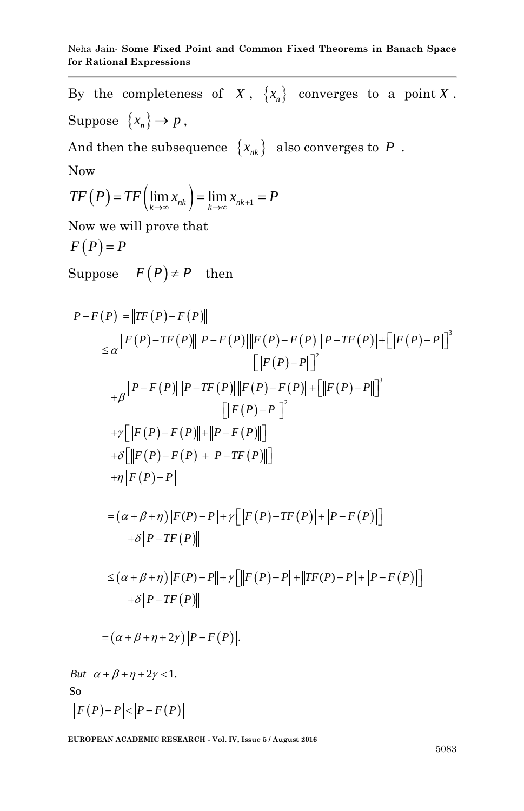By the completeness of  $X$ ,  $\{x_n\}$  converges to a point  $X$ . Suppose  $\{x_n\} \rightarrow p$ ,

And then the subsequence  $\,\left\{\vphantom{\cdot}x_{n k}\right\}\,$  also converges to  $\,P\,$  . Now

$$
TF(P) = TF\left(\lim_{k\to\infty} x_{nk}\right) = \lim_{k\to\infty} x_{nk+1} = P
$$

Now we will prove that

$$
F(P)=P
$$

Suppose 
$$
F(P) \neq P
$$
 then  
\n
$$
||P - F(P)|| = ||TF(P) - F(P)||
$$
\n
$$
\leq \alpha \frac{||F(P) - TF(P)||||P - F(P)||||F(P) - F(P)||||P - TF(P)|| + ||F(P) - P||]^3}{||F(P) - P||^2}
$$
\n
$$
+ \beta \frac{||P - F(P)||||P - TF(P)||||F(P) - F(P)|| + ||F(P) - P||^3}{||F(P) - F||^2}
$$
\n
$$
+ \gamma [||F(P) - F(P)|| + ||P - F(P)||]
$$
\n
$$
+ \delta [||F(P) - F(P)|| + ||P - TF(P)||]
$$
\n
$$
+ \eta ||F(P) - P||
$$
\n
$$
= (\alpha + \beta + \eta) ||F(P) - P|| + \gamma [||F(P) - TF(P)|| + ||P - F(P)||]
$$
\n
$$
+ \delta ||P - TF(P)||
$$
\n
$$
\leq (\alpha + \beta + \eta) ||F(P) - P|| + \gamma [||F(P) - P|| + ||TF(P) - P|| + ||P - F(P)||]
$$
\n
$$
+ \delta ||P - TF(P)||
$$
\n
$$
= (\alpha + \beta + \eta + 2\gamma) ||P - F(P)||.
$$
\nBut  $\alpha + \beta + \eta + 2\gamma < 1$ . So  
\n
$$
||F(P) - P|| < ||P - F(P)||
$$

 $\Vert F(P) \Vert$  $\overline{a}$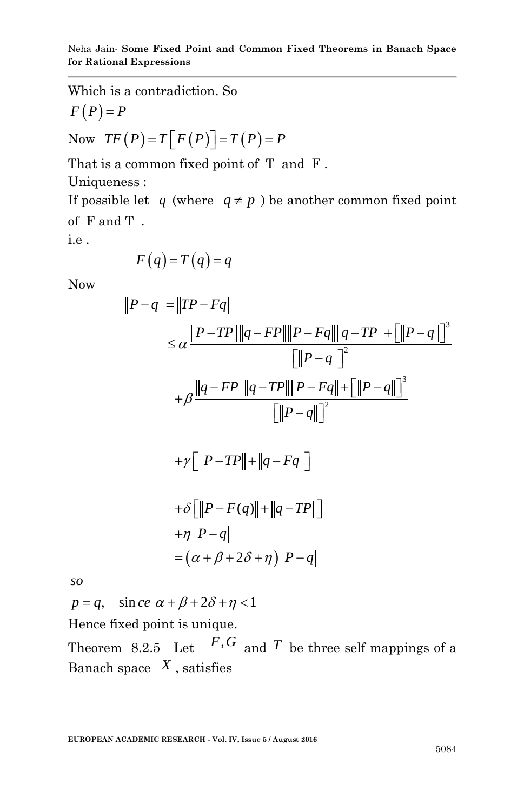Which is a contradiction. So  
\n
$$
F(P) = P
$$
  
\nNow  $TF(P) = T[F(P)] = T(P) = P$ 

That is a common fixed point of T and F .

Uniqueness :

If possible let q (where  $q \neq p$ ) be another common fixed point of F and T .

i.e .

$$
F(q) = T(q) = q
$$

Now

Now  
\n
$$
|P-q| = ||TP - Fq||
$$
\n
$$
\leq \alpha \frac{||P - TP|| ||q - FP|| ||P - Fq|| ||q - TP|| + [||P - q||]^3}{||P - q||^2}
$$
\n
$$
+ \beta \frac{||q - FP|| ||q - TP|| ||P - Fq|| + [||P - q||]^3}{||P - q||^2}
$$
\n
$$
+ \gamma [||P - TP|| + ||q - Fq||]
$$
\n
$$
+ \delta [||P - F(q)|| + ||q - TP||]
$$
\n
$$
+ \eta ||P - q||
$$
\n
$$
= (\alpha + \beta + 2\delta + \eta) ||P - q||
$$
\nso  
\n
$$
p = q, \text{ sinc } \alpha + \beta + 2\delta + \eta < 1
$$

*so*

 $, \quad \sin ce$ 

Hence fixed point is unique.

Theorem 8.2.5 Let  $F,G$  and T be three self mappings of a Banach space  $X$ , satisfies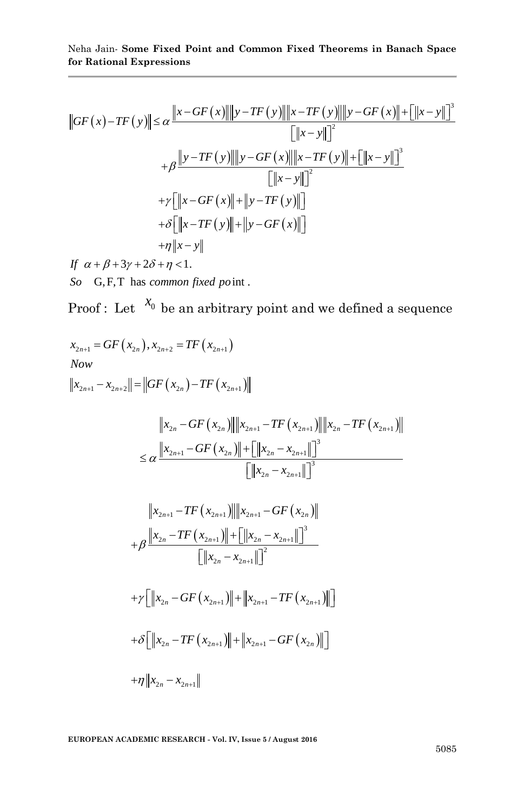$$
\|GF(x) - TF(y)\| \le \alpha \frac{\|x - GF(x)\| \|y - TF(y)\| \|x - TF(y)\| \|y - GF(x)\| + [\|x - y\|]^3}{[\|x - y\|]^2}
$$
  
+  $\beta \frac{\|y - TF(y)\| \|y - GF(x)\| \|x - TF(y)\| + [\|x - y\|]^3}{[\|x - y\|]^2}$   
+  $\gamma [\|x - GF(x)\| + \|y - TF(y)\|]$   
+  $\delta [\|x - TF(y)\| + \|y - GF(x)\|]$   
+  $\eta \|x - y\|$   
If  $\alpha + \beta + 3y + 2\delta + \eta < 1$ .

*So* G,F,T has *common fixed po* int.

Proof: Let 
$$
X_0
$$
 be an arbitrary point and we defined a sequence  
\n $x_{2n+1} = GF(x_{2n}), x_{2n+2} = TF(x_{2n+1})$   
\nNow  
\n
$$
||x_{2n+1} - x_{2n+2}|| = ||GF(x_{2n}) - TF(x_{2n+1})||
$$
\n
$$
||x_{2n} - GF(x_{2n})|| ||x_{2n+1} - TF(x_{2n+1})|| ||x_{2n} - TF(x_{2n+1})||
$$
\n
$$
\leq \alpha \frac{||x_{2n+1} - GF(x_{2n})|| + [||x_{2n} - x_{2n+1}||]^3}{[||x_{2n} - x_{2n+1}||]^3}
$$
\n
$$
||x_{2n+1} - TF(x_{2n+1})|| ||x_{2n+1} - GF(x_{2n})||
$$
\n
$$
+ \beta \frac{||x_{2n} - TF(x_{2n+1})|| + [||x_{2n} - x_{2n+1}||]^3}{[||x_{2n} - x_{2n+1}||]^2}
$$
\n
$$
+ \gamma [||x_{2n} - GF(x_{2n+1})|| + ||x_{2n+1} - TF(x_{2n+1})||]
$$
\n
$$
+ \delta [||x_{2n} - TF(x_{2n+1})|| + ||x_{2n+1} - GF(x_{2n})||]
$$
\n
$$
+ \gamma ||x_{2n} - TF(x_{2n+1})|| + ||x_{2n+1} - GF(x_{2n})||]
$$
\n
$$
+ \eta ||x_{2n} - x_{2n+1}||
$$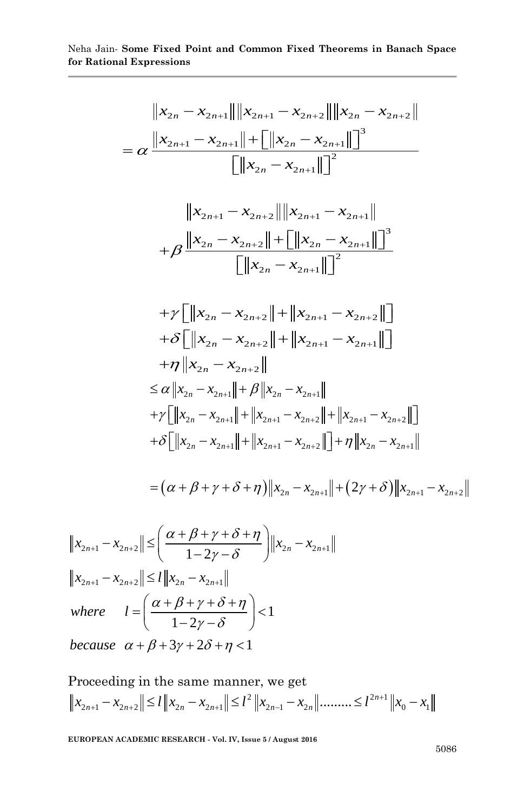$$
\|x_{2n} - x_{2n+1}\| \|x_{2n+1} - x_{2n+2}\| \|x_{2n} - x_{2n+2}\|
$$
\n
$$
= \alpha \frac{\|x_{2n+1} - x_{2n+1}\| + \left[\|x_{2n} - x_{2n+1}\| \right]^3}{\left[\|x_{2n} - x_{2n+1}\| \right]^2}
$$
\n
$$
\frac{\|x_{2n+1} - x_{2n+2}\| \|x_{2n+1} - x_{2n+1}\|}{\left[\|x_{2n} - x_{2n+1}\| \right]^2}
$$
\n
$$
+ \beta \frac{\|x_{2n} - x_{2n+2}\| + \left[\|x_{2n} - x_{2n+1}\| \right]^3}{\left[\|x_{2n} - x_{2n+1}\| \right]^2}
$$
\n
$$
+ \gamma \left[\|x_{2n} - x_{2n+2}\| + \|x_{2n+1} - x_{2n+2}\| \right]
$$
\n
$$
+ \delta \left[\|x_{2n} - x_{2n+2}\| + \|x_{2n+1} - x_{2n+1}\| \right]
$$
\n
$$
+ \eta \left\|x_{2n} - x_{2n+2}\right\|
$$
\n
$$
\leq \alpha \left\|x_{2n} - x_{2n+1}\right\| + \beta \left\|x_{2n} - x_{2n+1}\right\|
$$
\n
$$
+ \gamma \left[\|x_{2n} - x_{2n+1}\| + \beta \left\|x_{2n} - x_{2n+1}\right\| + \|x_{2n+1} - x_{2n+2}\| \right]
$$
\n
$$
+ \delta \left\|x_{2n} - x_{2n+1}\| + \|x_{2n+1} - x_{2n+2}\| + \|x_{2n+1} - x_{2n+2}\| \right]
$$
\n
$$
+ \delta \left\|x_{2n} - x_{2n+1}\| + \|x_{2n+1} - x_{2n+2}\| + \gamma \|x_{2n} - x_{2n+1}\| + (2\gamma + \delta) \|x_{2n+1} - x_{2n+2}\| \right\|
$$
\n
$$
= (\alpha + \beta + \gamma + \delta + \eta) \|x_{2n} - x_{2n+1}\| + (2\gamma + \delta) \|x_{2n
$$

$$
||x_{2n+1} - x_{2n+2}|| \le \left(\frac{\alpha + \beta + \gamma + \delta + \eta}{1 - 2\gamma - \delta}\right) ||x_{2n} - x_{2n+1}||
$$
  
\n
$$
||x_{2n+1} - x_{2n+2}|| \le l ||x_{2n} - x_{2n+1}||
$$
  
\nwhere 
$$
l = \left(\frac{\alpha + \beta + \gamma + \delta + \eta}{1 - 2\gamma - \delta}\right) < 1
$$
  
\nbecause  $\alpha + \beta + 3\gamma + 2\delta + \eta < 1$ 

Proceeding in the same manner, we get er, we get<br> $2 \| x_{2n-1} - x_2 \|$ ..........  $\le l^{2n+1}$ between the same manner, we get<br>  $|x_{2n+1} - x_{2n+2}| \le l ||x_{2n} - x_{2n+1}|| \le l^2 ||x_{2n-1} - x_{2n}||$ ......... $\le l^{2n+1} ||x_0 - x_1||$ *n* Proceeding in the same manner, we get<br>  $x_{2n+1} - x_{2n+2} || \le l ||x_{2n} - x_{2n+1}|| \le l^2 ||x_{2n-1} - x_{2n}||$ .........  $\le l^{2n+1} ||x_0 - x_1||$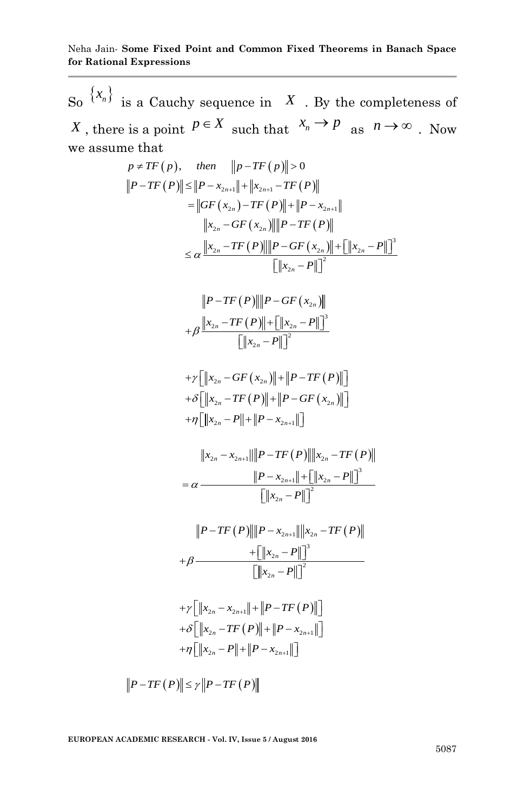So  $\{x_n\}$  is a Cauchy sequence in X . By the completeness of *X*, there is a point  $P \in X$  such that  $x_n \to P$  as  $n \to \infty$ . Now we assume that  $p \neq TF(p)$ , then  $||p - TF(p)|| > 0$ 

$$
p \neq TF(p), \quad then \quad ||p - TF(p)|| > 0
$$
\n
$$
|P - TF(P)|| \leq ||P - x_{2n+1}|| + ||x_{2n+1} - TF(P)||
$$
\n
$$
= ||GF(x_{2n}) - TF(P)|| + ||P - x_{2n+1}||
$$
\n
$$
||x_{2n} - GF(x_{2n})|| ||P - TF(P)||
$$
\n
$$
\leq \alpha \frac{||x_{2n} - TF(P)|| ||P - GF(x_{2n})|| + [||x_{2n} - P||]^2}{[||x_{2n} - P||]^2}
$$
\n
$$
||P - TF(P)|| ||P - GF(x_{2n})||
$$
\n
$$
+ \beta \frac{||x_{2n} - TF(P)|| + [||x_{2n} - P||]^3}{[||x_{2n} - P||]^2}
$$

$$
||P - TF(P)||||P - GF(x_{2n})||
$$
  
+  $\beta$   $||x_{2n} - TF(P)|| + [||x_{2n} - P||]^3$   
 $||x_{2n} - P||]^2$ 

$$
\begin{aligned}\n &\|x_{2n} - T\|_1 \\
+ \gamma \left[ \|x_{2n} - GF(x_{2n})\| + \|P - TF(P)\| \right] \\
+ \delta \left[ \|x_{2n} - TF(P)\| + \|P - GF(x_{2n})\| \right] \\
+ \eta \left[ \|x_{2n} - P\| + \|P - x_{2n+1}\| \right]\n\end{aligned}
$$

$$
\|x_{2n} - x_{2n+1}\| \leq P\|x_{2n} - T\| \leq P\|x_{2n} - T\| \leq P\|x_{2n} - T\| \leq P\|x_{2n} - T\| \leq P\|x_{2n} - P\| \leq P\|x_{2n} - P\| \leq P\|x_{2n} - P\| \leq P\|x_{2n} - P\| \leq P\|x_{2n} - P\| \leq P\|x_{2n} - P\| \leq P\|x_{2n} - P\| \leq P\|x_{2n} - P\| \leq P\|x_{2n} - P\| \leq P\|x_{2n} - P\| \leq P\|x_{2n} - P\| \leq P\|x_{2n} - P\| \leq P\|x_{2n} - P\| \leq P\|x_{2n} - P\| \leq P\|x_{2n} - P\| \leq P\|x_{2n} - P\| \leq P\|x_{2n} - P\| \leq P\|x_{2n} - P\| \leq P\|x_{2n} - P\| \leq P\|x_{2n} - P\| \leq P\|x_{2n} - P\| \leq P\|x_{2n} - P\| \leq P\|x_{2n} - P\| \leq P\|x_{2n} - P\| \leq P\|x_{2n} - P\| \leq P\|x_{2n} - P\| \leq P\|x_{2n} - P\| \leq P\|x_{2n} - P\| \leq P\|x_{2n} - P\| \leq P\|x_{2n} - P\| \leq P\|x_{2n} - P\| \leq P\|x_{2n} - P\| \leq P\|x_{2n} - P\| \leq P\|x_{2n} - P\| \leq P\|x_{2n} - P\| \leq P\|x_{2n} - P\| \leq P\|x_{2n} - P\| \leq P\|x_{2n} - P\| \leq P\|x_{2n} - P\| \leq P\|x_{2n} - P\| \leq P\|x_{2n} - P\| \leq P\|x_{2n} - P\| \leq P\|x_{2n} - P\| \leq P\|x_{2n} - P\| \leq P\|x_{2n} - P\| \leq P\|x_{2
$$

$$
\mathbb{L}^{||A_{2n} - I||} \mathbb{L}
$$
\n
$$
||P - TF(P)|| ||P - x_{2n+1}|| ||x_{2n} - TF(P)||
$$
\n
$$
+ \beta \frac{\mathbb{L}||x_{2n} - P||]^3}{\left[ ||x_{2n} - P|| \right]^2}
$$

$$
\begin{aligned}\n &\|x_{2n} - x\| \leq \|\mathbf{x}_{2n} - \mathbf{x}_{2n+1}\| + \|P - TF(P)\| \leq \|\mathbf{x}_{2n} - TF(P)\| + \|P - \mathbf{x}_{2n+1}\| \leq \|\mathbf{x}_{2n} - TF(P)\| + \|P - \mathbf{x}_{2n+1}\| \leq \|\mathbf{x}_{2n} - P\| + \|P - \mathbf{x}_{2n+1}\| \leq \|\mathbf{x}_{2n} - P\| + \|P - \mathbf{x}_{2n+1}\| \leq \|\mathbf{x}_{2n} - P\| + \|P - \mathbf{x}_{2n+1}\| \leq \|\mathbf{x}_{2n} - P\| + \|P - \mathbf{x}_{2n+1}\| \leq \|\mathbf{x}_{2n} - P\| \end{aligned}
$$

$$
\|P - TF(P)\| \le \gamma \|P - TF(P)\|
$$